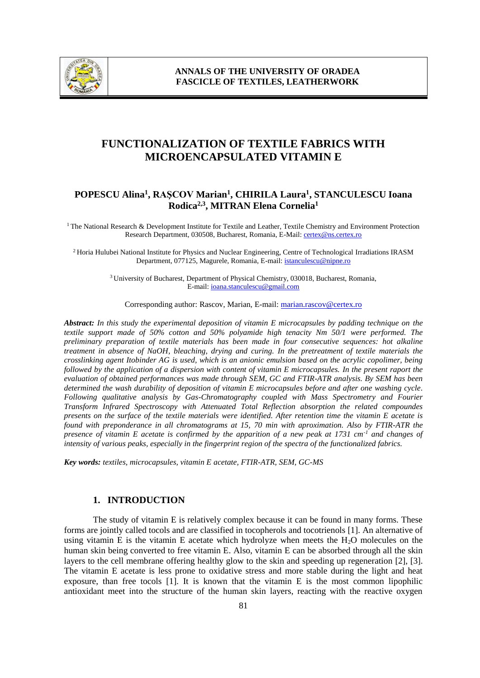

# **FUNCTIONALIZATION OF TEXTILE FABRICS WITH MICROENCAPSULATED VITAMIN E**

### **POPESCU Alina<sup>1</sup> , RAŞCOV Marian<sup>1</sup> , CHIRILA Laura<sup>1</sup> , STANCULESCU Ioana Rodica2,3, MITRAN Elena Cornelia<sup>1</sup>**

 $1$ <sup>T</sup>he National Research & Development Institute for Textile and Leather, Textile Chemistry and Environment Protection Research Department, 030508, Bucharest, Romania, E-Mail[: certex@ns.certex.ro](mailto:certex@ns.certex.ro)

<sup>2</sup>Horia Hulubei National Institute for Physics and Nuclear Engineering, Centre of Technological Irradiations IRASM Department, 077125, Magurele, Romania, E-mail: istanculescu@nipne.ro

> <sup>3</sup>University of Bucharest, Department of Physical Chemistry, 030018, Bucharest, Romania, E-mail: ioana.stanculescu@gmail.com

Corresponding author: Rascov, Marian, E-mail: marian.rascov@certex.ro

*Abstract: In this study the experimental deposition of vitamin E microcapsules by padding technique on the textile support made of 50% cotton and 50% polyamide high tenacity Nm 50/1 were performed. The preliminary preparation of textile materials has been made in four consecutive sequences: hot alkaline treatment in absence of NaOH, bleaching, drying and curing. In the pretreatment of textile materials the crosslinking agent Itobinder AG is used, which is an anionic emulsion based on the acrylic copolimer, being followed by the application of a dispersion with content of vitamin E microcapsules. In the present raport the evaluation of obtained performances was made through SEM, GC and FTIR-ATR analysis. By SEM has been determined the wash durability of deposition of vitamin E microcapsules before and after one washing cycle. Following qualitative analysis by Gas-Chromatography coupled with Mass Spectrometry and Fourier Transform Infrared Spectroscopy with Attenuated Total Reflection absorption the related compoundes presents on the surface of the textile materials were identified. After retention time the vitamin E acetate is found with preponderance in all chromatograms at 15, 70 min with aproximation. Also by FTIR-ATR the presence of vitamin E acetate is confirmed by the apparition of a new peak at 1731 cm-1 and changes of intensity of various peaks, especially in the fingerprint region of the spectra of the functionalized fabrics.*

*Key words: textiles, microcapsules, vitamin E acetate, FTIR-ATR, SEM, GC-MS*

# **1. INTRODUCTION**

The study of vitamin E is relatively complex because it can be found in many forms. These forms are jointly called tocols and are classified in tocopherols and tocotrienols [1]. An alternative of using vitamin E is the vitamin E acetate which hydrolyze when meets the H2O molecules on the human skin being converted to free vitamin E. Also, vitamin E can be absorbed through all the skin layers to the cell membrane offering healthy glow to the skin and speeding up regeneration [2], [3]. The vitamin E acetate is less prone to oxidative stress and more stable during the light and heat exposure, than free tocols [1]. It is known that the vitamin E is the most common lipophilic antioxidant meet into the structure of the human skin layers, reacting with the reactive oxygen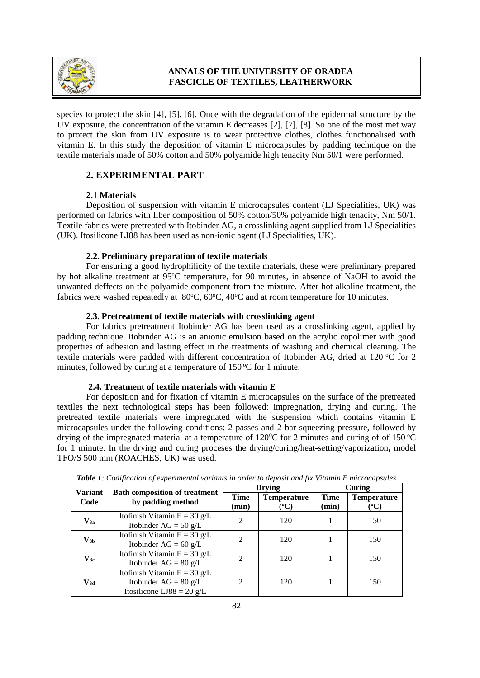

species to protect the skin [4], [5], [6]. Once with the degradation of the epidermal structure by the UV exposure, the concentration of the vitamin E decreases [2], [7], [8]. So one of the most met way to protect the skin from UV exposure is to wear protective clothes, clothes functionalised with vitamin E. In this study the deposition of vitamin E microcapsules by padding technique on the textile materials made of 50% cotton and 50% polyamide high tenacity Nm 50/1 were performed.

### **2. EXPERIMENTAL PART**

### **2.1 Materials**

Deposition of suspension with vitamin E microcapsules content (LJ Specialities, UK) was performed on fabrics with fiber composition of 50% cotton/50% polyamide high tenacity, Nm 50/1. Textile fabrics were pretreated with Itobinder AG, a crosslinking agent supplied from LJ Specialities (UK). Itosilicone LJ88 has been used as non-ionic agent (LJ Specialities, UK).

### **2.2. Preliminary preparation of textile materials**

For ensuring a good hydrophilicity of the textile materials, these were preliminary prepared by hot alkaline treatment at 95°C temperature, for 90 minutes, in absence of NaOH to avoid the unwanted deffects on the polyamide component from the mixture. After hot alkaline treatment, the fabrics were washed repeatedly at  $80^{\circ}$ C,  $60^{\circ}$ C,  $40^{\circ}$ C and at room temperature for 10 minutes.

### **2.3. Pretreatment of textile materials with crosslinking agent**

For fabrics pretreatment Itobinder AG has been used as a crosslinking agent, applied by padding technique. Itobinder AG is an anionic emulsion based on the acrylic copolimer with good properties of adhesion and lasting effect in the treatments of washing and chemical cleaning. The textile materials were padded with different concentration of Itobinder AG, dried at 120  $\degree$ C for 2 minutes, followed by curing at a temperature of  $150^{\circ}$ C for 1 minute.

### **2.4. Treatment of textile materials with vitamin E**

For deposition and for fixation of vitamin E microcapsules on the surface of the pretreated textiles the next technological steps has been followed: impregnation, drying and curing. The pretreated textile materials were impregnated with the suspension which contains vitamin E microcapsules under the following conditions: 2 passes and 2 bar squeezing pressure, followed by drying of the impregnated material at a temperature of  $120^{\circ}$ C for 2 minutes and curing of of 150  $^{\circ}$ C for 1 minute. In the drying and curing proceses the drying/curing/heat-setting/vaporization**,** model TFO/S 500 mm (ROACHES, UK) was used.

| <b>Variant</b><br>Code | <b>Bath composition of treatment</b><br>by padding method                              | <b>Drying</b>        |                            | Curing               |                            |
|------------------------|----------------------------------------------------------------------------------------|----------------------|----------------------------|----------------------|----------------------------|
|                        |                                                                                        | <b>Time</b><br>(min) | <b>Temperature</b><br>(°C) | <b>Time</b><br>(min) | <b>Temperature</b><br>(°C) |
| $\mathbf{V_{3a}}$      | Itofinish Vitamin $E = 30 g/L$<br>Itobinder AG = $50$ g/L                              | $\overline{2}$       | 120                        |                      | 150                        |
| $\mathbf{V_{3b}}$      | Itofinish Vitamin $E = 30 g/L$<br>Itobinder AG = $60 \text{ g/L}$                      | $\mathfrak{D}$       | 120                        |                      | 150                        |
| $\mathbf{V_{3c}}$      | Itofinish Vitamin $E = 30 g/L$<br>Itobinder $AG = 80 g/L$                              | 2                    | 120                        |                      | 150                        |
| $\mathbf{V_{3d}}$      | Itofinish Vitamin $E = 30 g/L$<br>Itobinder $AG = 80 g/L$<br>Itosilicone LJ88 = 20 g/L | 2                    | 120                        |                      | 150                        |

*Table 1: Codification of experimental variants in order to deposit and fix Vitamin E microcapsules*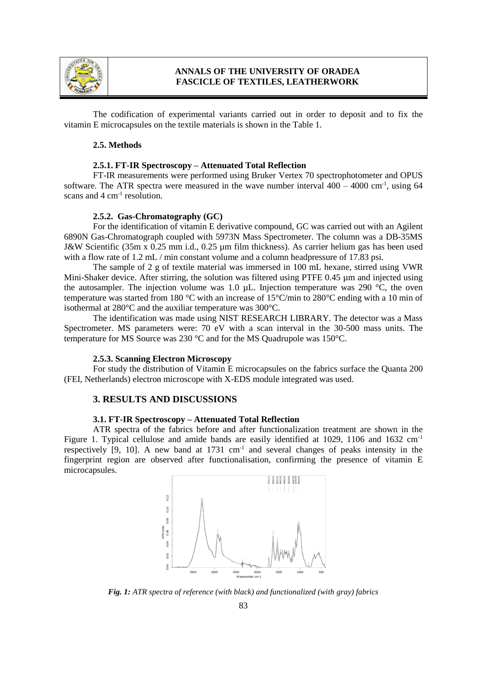

The codification of experimental variants carried out in order to deposit and to fix the vitamin E microcapsules on the textile materials is shown in the Table 1.

#### **2.5. Methods**

### **2.5.1. FT-IR Spectroscopy – Attenuated Total Reflection**

FT-IR measurements were performed using Bruker Vertex 70 spectrophotometer and OPUS software. The ATR spectra were measured in the wave number interval  $400 - 4000$  cm<sup>-1</sup>, using 64 scans and 4 cm<sup>-1</sup> resolution.

#### **2.5.2. Gas-Chromatography (GC)**

For the identification of vitamin E derivative compound, GC was carried out with an Agilent 6890N Gas-Chromatograph coupled with 5973N Mass Spectrometer. The column was a DB-35MS J&W Scientific (35m x 0.25 mm i.d., 0.25 µm film thickness). As carrier helium gas has been used with a flow rate of 1.2 mL / min constant volume and a column headpressure of 17.83 psi.

The sample of 2 g of textile material was immersed in 100 mL hexane, stirred using VWR Mini-Shaker device. After stirring, the solution was filtered using PTFE 0.45  $\mu$ m and injected using the autosampler. The injection volume was 1.0  $\mu$ L. Injection temperature was 290 °C, the oven temperature was started from 180 °C with an increase of 15 °C/min to 280 °C ending with a 10 min of isothermal at 280°C and the auxiliar temperature was 300°C.

The identification was made using NIST RESEARCH LIBRARY. The detector was a Mass Spectrometer. MS parameters were: 70 eV with a scan interval in the 30-500 mass units. The temperature for MS Source was 230 °C and for the MS Quadrupole was 150°C.

#### **2.5.3. Scanning Electron Microscopy**

For study the distribution of Vitamin E microcapsules on the fabrics surface the Quanta 200 (FEI, Netherlands) electron microscope with X-EDS module integrated was used.

### **3. RESULTS AND DISCUSSIONS**

#### **3.1. FT-IR Spectroscopy – Attenuated Total Reflection**

ATR spectra of the fabrics before and after functionalization treatment are shown in the Figure 1. Typical cellulose and amide bands are easily identified at 1029, 1106 and 1632 cm<sup>-1</sup> respectively  $[9, 10]$ . A new band at 1731 cm<sup>-1</sup> and several changes of peaks intensity in the fingerprint region are observed after functionalisation, confirming the presence of vitamin E microcapsules.



Fig. 1: ATR spectra of reference (with black) and functionalized (with gray) fabrics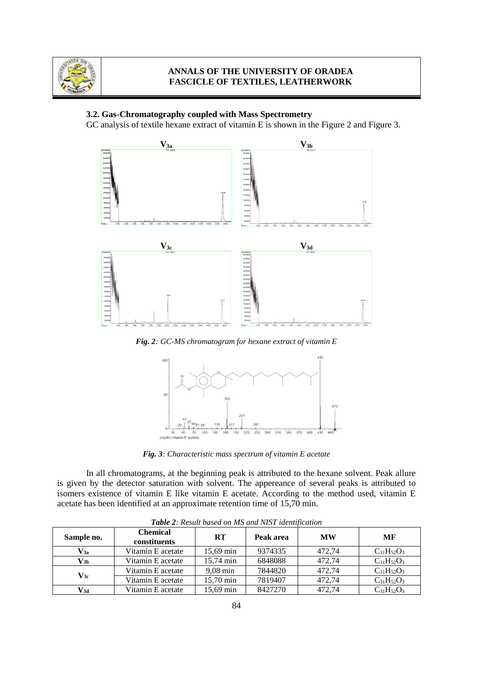

### **3.2. Gas-Chromatography coupled with Mass Spectrometry**

GC analysis of textile hexane extract of vitamin E is shown in the Figure 2 and Figure 3.



*Fig. 2: GC-MS chromatogram for hexane extract of vitamin E*



*Fig. 3: Characteristic mass spectrum of vitamin E acetate*

In all chromatograms, at the beginning peak is attributed to the hexane solvent. Peak allure is given by the detector saturation with solvent. The appereance of several peaks is attributed to isomers existence of vitamin E like vitamin E acetate. According to the method used, vitamin E acetate has been identified at an approximate retention time of 15,70 min.

| $\blacksquare$ wo ve $\blacksquare$ . These we can can call the case of the case of the case of the case of the case of the case of the case of the case of the case of the case of the case of the case of the case of the case of the case o |                                 |                     |           |           |                   |  |  |  |
|------------------------------------------------------------------------------------------------------------------------------------------------------------------------------------------------------------------------------------------------|---------------------------------|---------------------|-----------|-----------|-------------------|--|--|--|
| Sample no.                                                                                                                                                                                                                                     | <b>Chemical</b><br>constituents | <b>RT</b>           | Peak area | <b>MW</b> | MF                |  |  |  |
| $V_{3a}$                                                                                                                                                                                                                                       | Vitamin E acetate               | $15,69 \text{ min}$ | 9374335   | 472,74    | $C_{31}H_{52}O_3$ |  |  |  |
| $\mathbf{V_{3b}}$                                                                                                                                                                                                                              | Vitamin E acetate               | $15.74 \text{ min}$ | 6848088   | 472.74    | $C_{31}H_{52}O_3$ |  |  |  |
| $\mathbf{V_{3c}}$                                                                                                                                                                                                                              | Vitamin E acetate               | $9.08 \text{ min}$  | 7844820   | 472.74    | $C_{31}H_{52}O_3$ |  |  |  |
|                                                                                                                                                                                                                                                | Vitamin E acetate               | $15.70 \text{ min}$ | 7819407   | 472.74    | $C_{31}H_{52}O_3$ |  |  |  |
| V3d                                                                                                                                                                                                                                            | Vitamin E acetate               | $15.69 \text{ min}$ | 8427270   | 472.74    | $C_{31}H_{52}O_3$ |  |  |  |

*Table 2: Result based on MS and NIST identification*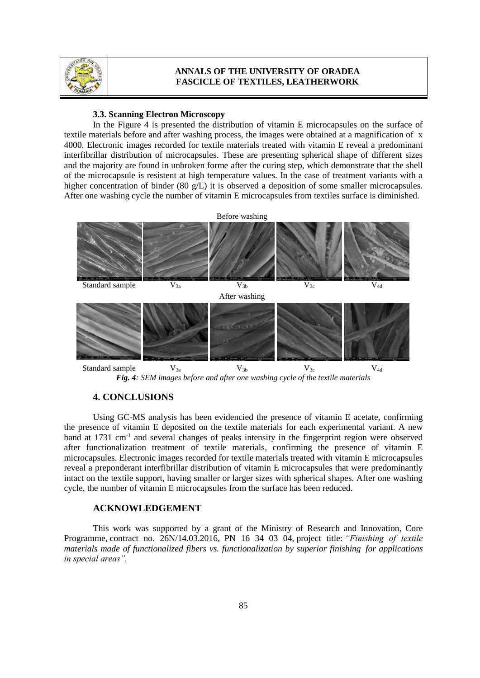

#### **3.3. Scanning Electron Microscopy**

In the Figure 4 is presented the distribution of vitamin E microcapsules on the surface of textile materials before and after washing process, the images were obtained at a magnification of x 4000. Electronic images recorded for textile materials treated with vitamin E reveal a predominant interfibrillar distribution of microcapsules. These are presenting spherical shape of different sizes and the majority are found in unbroken forme after the curing step, which demonstrate that the shell of the microcapsule is resistent at high temperature values. In the case of treatment variants with a higher concentration of binder (80 g/L) it is observed a deposition of some smaller microcapsules. After one washing cycle the number of vitamin E microcapsules from textiles surface is diminished.



*Fig. 4: SEM images before and after one washing cycle of the textile materials*

### **4. CONCLUSIONS**

Using GC-MS analysis has been evidencied the presence of vitamin E acetate, confirming the presence of vitamin E deposited on the textile materials for each experimental variant. A new band at 1731 cm<sup>-1</sup> and several changes of peaks intensity in the fingerprint region were observed after functionalization treatment of textile materials, confirming the presence of vitamin E microcapsules. Electronic images recorded for textile materials treated with vitamin E microcapsules reveal a preponderant interfibrillar distribution of vitamin E microcapsules that were predominantly intact on the textile support, having smaller or larger sizes with spherical shapes. After one washing cycle, the number of vitamin E microcapsules from the surface has been reduced.

### **ACKNOWLEDGEMENT**

This work was supported by a grant of the Ministry of Research and Innovation, Core Programme, contract no. 26N/14.03.2016,PN 16 34 03 04, project title: *"Finishing of textile materials made of functionalized fibers vs. functionalization by superior finishing for applications in special areas".*